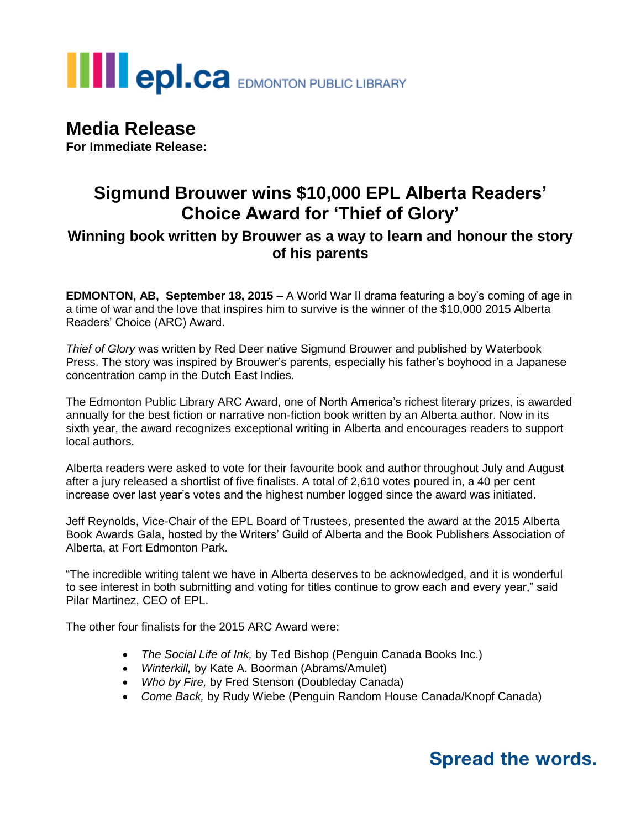# **III** epl.ca EDMONTON PUBLIC LIBRARY

## **Media Release**

**For Immediate Release:**

### **Sigmund Brouwer wins \$10,000 EPL Alberta Readers' Choice Award for 'Thief of Glory'**

### **Winning book written by Brouwer as a way to learn and honour the story of his parents**

**EDMONTON, AB, September 18, 2015** – A World War II drama featuring a boy's coming of age in a time of war and the love that inspires him to survive is the winner of the \$10,000 2015 Alberta Readers' Choice (ARC) Award.

*Thief of Glory* was written by Red Deer native Sigmund Brouwer and published by Waterbook Press. The story was inspired by Brouwer's parents, especially his father's boyhood in a Japanese concentration camp in the Dutch East Indies.

The Edmonton Public Library ARC Award, one of North America's richest literary prizes, is awarded annually for the best fiction or narrative non-fiction book written by an Alberta author. Now in its sixth year, the award recognizes exceptional writing in Alberta and encourages readers to support local authors.

Alberta readers were asked to vote for their favourite book and author throughout July and August after a jury released a shortlist of five finalists. A total of 2,610 votes poured in, a 40 per cent increase over last year's votes and the highest number logged since the award was initiated.

Jeff Reynolds, Vice-Chair of the EPL Board of Trustees, presented the award at the 2015 Alberta Book Awards Gala, hosted by the Writers' Guild of Alberta and the Book Publishers Association of Alberta, at Fort Edmonton Park.

"The incredible writing talent we have in Alberta deserves to be acknowledged, and it is wonderful to see interest in both submitting and voting for titles continue to grow each and every year," said Pilar Martinez, CEO of EPL.

The other four finalists for the 2015 ARC Award were:

- *The Social Life of Ink,* by Ted Bishop (Penguin Canada Books Inc.)
- *Winterkill,* by Kate A. Boorman (Abrams/Amulet)
- *Who by Fire,* by Fred Stenson (Doubleday Canada)
- *Come Back,* by Rudy Wiebe (Penguin Random House Canada/Knopf Canada)

## **Spread the words.**